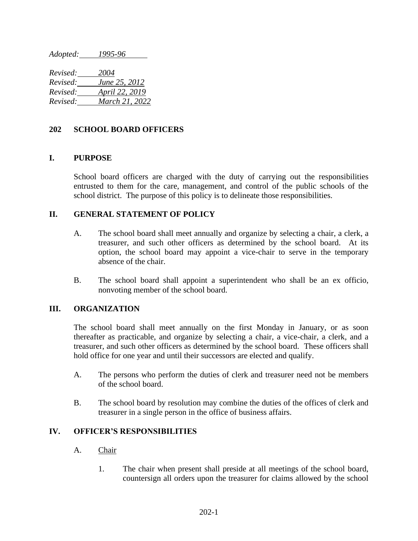*Adopted: 1995-96*

*Revised: 2004 Revised: June 25, 2012 Revised: April 22, 2019 Revised: March 21, 2022*

## **202 SCHOOL BOARD OFFICERS**

## **I. PURPOSE**

School board officers are charged with the duty of carrying out the responsibilities entrusted to them for the care, management, and control of the public schools of the school district. The purpose of this policy is to delineate those responsibilities.

# **II. GENERAL STATEMENT OF POLICY**

- A. The school board shall meet annually and organize by selecting a chair, a clerk, a treasurer, and such other officers as determined by the school board. At its option, the school board may appoint a vice-chair to serve in the temporary absence of the chair.
- B. The school board shall appoint a superintendent who shall be an ex officio, nonvoting member of the school board.

#### **III. ORGANIZATION**

The school board shall meet annually on the first Monday in January, or as soon thereafter as practicable, and organize by selecting a chair, a vice-chair, a clerk, and a treasurer, and such other officers as determined by the school board. These officers shall hold office for one year and until their successors are elected and qualify.

- A. The persons who perform the duties of clerk and treasurer need not be members of the school board.
- B. The school board by resolution may combine the duties of the offices of clerk and treasurer in a single person in the office of business affairs.

#### **IV. OFFICER'S RESPONSIBILITIES**

#### A. Chair

1. The chair when present shall preside at all meetings of the school board, countersign all orders upon the treasurer for claims allowed by the school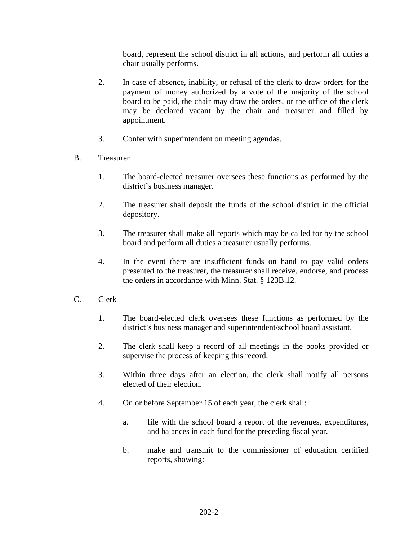board, represent the school district in all actions, and perform all duties a chair usually performs.

- 2. In case of absence, inability, or refusal of the clerk to draw orders for the payment of money authorized by a vote of the majority of the school board to be paid, the chair may draw the orders, or the office of the clerk may be declared vacant by the chair and treasurer and filled by appointment.
- 3. Confer with superintendent on meeting agendas.
- B. Treasurer
	- 1. The board-elected treasurer oversees these functions as performed by the district's business manager.
	- 2. The treasurer shall deposit the funds of the school district in the official depository.
	- 3. The treasurer shall make all reports which may be called for by the school board and perform all duties a treasurer usually performs.
	- 4. In the event there are insufficient funds on hand to pay valid orders presented to the treasurer, the treasurer shall receive, endorse, and process the orders in accordance with Minn. Stat. § 123B.12.
- C. Clerk
	- 1. The board-elected clerk oversees these functions as performed by the district's business manager and superintendent/school board assistant.
	- 2. The clerk shall keep a record of all meetings in the books provided or supervise the process of keeping this record.
	- 3. Within three days after an election, the clerk shall notify all persons elected of their election.
	- 4. On or before September 15 of each year, the clerk shall:
		- a. file with the school board a report of the revenues, expenditures, and balances in each fund for the preceding fiscal year.
		- b. make and transmit to the commissioner of education certified reports, showing: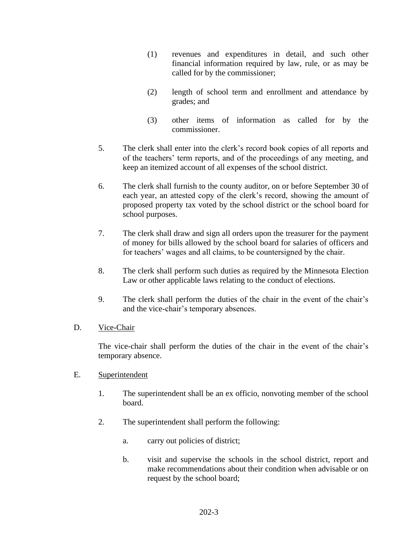- (1) revenues and expenditures in detail, and such other financial information required by law, rule, or as may be called for by the commissioner;
- (2) length of school term and enrollment and attendance by grades; and
- (3) other items of information as called for by the commissioner.
- 5. The clerk shall enter into the clerk's record book copies of all reports and of the teachers' term reports, and of the proceedings of any meeting, and keep an itemized account of all expenses of the school district.
- 6. The clerk shall furnish to the county auditor, on or before September 30 of each year, an attested copy of the clerk's record, showing the amount of proposed property tax voted by the school district or the school board for school purposes.
- 7. The clerk shall draw and sign all orders upon the treasurer for the payment of money for bills allowed by the school board for salaries of officers and for teachers' wages and all claims, to be countersigned by the chair.
- 8. The clerk shall perform such duties as required by the Minnesota Election Law or other applicable laws relating to the conduct of elections.
- 9. The clerk shall perform the duties of the chair in the event of the chair's and the vice-chair's temporary absences.
- D. Vice-Chair

The vice-chair shall perform the duties of the chair in the event of the chair's temporary absence.

- E. Superintendent
	- 1. The superintendent shall be an ex officio, nonvoting member of the school board.
	- 2. The superintendent shall perform the following:
		- a. carry out policies of district;
		- b. visit and supervise the schools in the school district, report and make recommendations about their condition when advisable or on request by the school board;